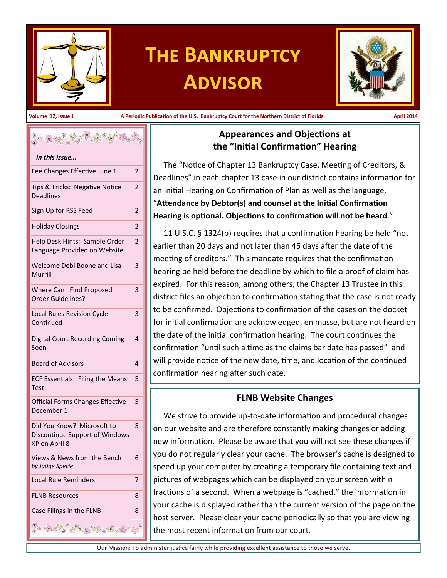

# **The Bankruptcy Advisor**



**Volume 12, Issue 1 A Periodic Publication of the U.S. Bankruptcy Court for the Northern District of Florida April 2014**

| ૽ૢ૾૱ <i>ઌૡૹૢ૾૾ૢૡ૾ૺૣૢઌૺૺૢૹૺ૿ઌૢ</i> ૿ૡૻ <sub>૱</sub> ઌ<br>In this issue         |                |  |  |
|-------------------------------------------------------------------------------|----------------|--|--|
| Fee Changes Effective June 1                                                  | $\overline{2}$ |  |  |
| Tips & Tricks: Negative Notice<br>Deadlines                                   | $\overline{2}$ |  |  |
| Sign Up for RSS Feed                                                          | 2              |  |  |
| <b>Holiday Closings</b>                                                       |                |  |  |
| Help Desk Hints: Sample Order<br>Language Provided on Website                 |                |  |  |
| Welcome Debi Boone and Lisa<br>Murrill                                        | 3              |  |  |
| Where Can I Find Proposed<br>Order Guidelines?                                |                |  |  |
| Local Rules Revision Cycle<br>Continued                                       | 3              |  |  |
| Digital Court Recording Coming<br>Soon                                        | 4              |  |  |
| <b>Board of Advisors</b>                                                      | 4              |  |  |
| <b>ECF Essentials: Filing the Means</b><br><b>Test</b>                        | 5              |  |  |
| Official Forms Changes Effective<br>December 1                                | 5              |  |  |
| Did You Know? Microsoft to<br>Discontinue Support of Windows<br>XP on April 8 | 5              |  |  |
| Views & News from the Bench<br>by Judge Specie                                | 6              |  |  |
| <b>Local Rule Reminders</b>                                                   | 7              |  |  |
| <b>FLNB Resources</b>                                                         | 8              |  |  |
| Case Filings in the FLNB                                                      | 8              |  |  |
| \$ 18 2 5 3 2 3 2 3 3 3<br>80000                                              |                |  |  |

## **Appearances and Objections at the "Initial Confirmation" Hearing**

The "Notice of Chapter 13 Bankruptcy Case, Meeting of Creditors, & Deadlines" in each chapter 13 case in our district contains information for an Initial Hearing on Confirmation of Plan as well as the language, "**Attendance by Debtor(s) and counsel at the Initial Confirmation Hearing is optional. Objections to confirmation will not be heard**."

11 U.S.C. § 1324(b) requires that a confirmation hearing be held "not earlier than 20 days and not later than 45 days after the date of the meeting of creditors." This mandate requires that the confirmation hearing be held before the deadline by which to file a proof of claim has expired. For this reason, among others, the Chapter 13 Trustee in this district files an objection to confirmation stating that the case is not ready to be confirmed. Objections to confirmation of the cases on the docket for initial confirmation are acknowledged, en masse, but are not heard on the date of the initial confirmation hearing. The court continues the confirmation "until such a time as the claims bar date has passed" and will provide notice of the new date, time, and location of the continued confirmation hearing after such date.

## **FLNB Website Changes**

We strive to provide up-to-date information and procedural changes on our website and are therefore constantly making changes or adding new information. Please be aware that you will not see these changes if you do not regularly clear your cache. The browser's cache is designed to speed up your computer by creating a temporary file containing text and pictures of webpages which can be displayed on your screen within fractions of a second. When a webpage is "cached," the information in your cache is displayed rather than the current version of the page on the host server. Please clear your cache periodically so that you are viewing the most recent information from our court.

Our Mission: To administer justice fairly while providing excellent assistance to those we serve.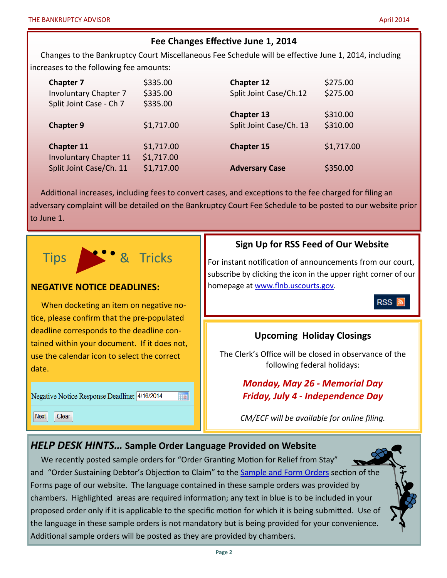## **Fee Changes Effective June 1, 2014**

Changes to the Bankruptcy Court Miscellaneous Fee Schedule will be effective June 1, 2014, including increases to the following fee amounts:

| <b>Chapter 7</b>                                   | \$335.00                 | Chapter 12              | \$275.00   |
|----------------------------------------------------|--------------------------|-------------------------|------------|
| <b>Involuntary Chapter 7</b>                       | \$335.00                 | Split Joint Case/Ch.12  | \$275.00   |
| Split Joint Case - Ch 7                            | \$335.00                 | <b>Chapter 13</b>       | \$310.00   |
| <b>Chapter 9</b>                                   | \$1,717.00               | Split Joint Case/Ch. 13 | \$310.00   |
| <b>Chapter 11</b><br><b>Involuntary Chapter 11</b> | \$1,717.00<br>\$1,717.00 | <b>Chapter 15</b>       | \$1,717.00 |
| Split Joint Case/Ch. 11                            | \$1,717.00               | <b>Adversary Case</b>   | \$350.00   |

Additional increases, including fees to convert cases, and exceptions to the fee charged for filing an adversary complaint will be detailed on the Bankruptcy Court Fee Schedule to be posted to our website prior to June 1.



## **Sign Up for RSS Feed of Our Website**

For instant notification of announcements from our court, subscribe by clicking the icon in the upper right corner of our homepage at [www.flnb.uscourts.gov.](http://www.flnb.uscourts.gov)

RSS |

## **Upcoming Holiday Closings**

The Clerk's Office will be closed in observance of the following federal holidays:

## *Monday, May 26 - Memorial Day Friday, July 4 - Independence Day*

*CM/ECF will be available for online filing.*

## *HELP DESK HINTS…* **Sample Order Language Provided on Website**

We recently posted sample orders for "Order Granting Motion for Relief from Stay" and "Order Sustaining Debtor's Objection to Claim" to the [Sample and Form Orders](http://www.flnb.uscourts.gov/forms#sampleOrd) section of the Forms page of our website. The language contained in these sample orders was provided by chambers. Highlighted areas are required information; any text in blue is to be included in your proposed order only if it is applicable to the specific motion for which it is being submitted. Use of the language in these sample orders is not mandatory but is being provided for your convenience. Additional sample orders will be posted as they are provided by chambers.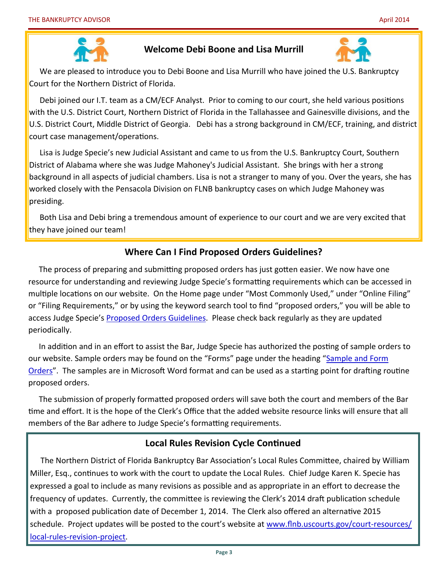

## **Welcome Debi Boone and Lisa Murrill**



We are pleased to introduce you to Debi Boone and Lisa Murrill who have joined the U.S. Bankruptcy Court for the Northern District of Florida.

Debi joined our I.T. team as a CM/ECF Analyst. Prior to coming to our court, she held various positions with the U.S. District Court, Northern District of Florida in the Tallahassee and Gainesville divisions, and the U.S. District Court, Middle District of Georgia. Debi has a strong background in CM/ECF, training, and district court case management/operations.

Lisa is Judge Specie's new Judicial Assistant and came to us from the U.S. Bankruptcy Court, Southern District of Alabama where she was Judge Mahoney's Judicial Assistant. She brings with her a strong background in all aspects of judicial chambers. Lisa is not a stranger to many of you. Over the years, she has worked closely with the Pensacola Division on FLNB bankruptcy cases on which Judge Mahoney was presiding.

Both Lisa and Debi bring a tremendous amount of experience to our court and we are very excited that they have joined our team!

## **Where Can I Find Proposed Orders Guidelines?**

The process of preparing and submitting proposed orders has just gotten easier. We now have one resource for understanding and reviewing Judge Specie's formatting requirements which can be accessed in multiple locations on our website. On the Home page under "Most Commonly Used," under "Online Filing" or "Filing Requirements," or by using the keyword search tool to find "proposed orders," you will be able to access Judge Specie's [Proposed Orders Guidelines.](http://www.flnb.uscourts.gov/sites/default/files/filing_requirements/4-inst.pdf) Please check back regularly as they are updated periodically.

In addition and in an effort to assist the Bar, Judge Specie has authorized the posting of sample orders to our website. Sample orders may be found on the "Forms" page under the heading "Sample and Form [Orders"](http://www.flnb.uscourts.gov/forms#sampleOrd). The samples are in Microsoft Word format and can be used as a starting point for drafting routine proposed orders.

The submission of properly formatted proposed orders will save both the court and members of the Bar time and effort. It is the hope of the Clerk's Office that the added website resource links will ensure that all members of the Bar adhere to Judge Specie's formatting requirements.

## **Local Rules Revision Cycle Continued**

The Northern District of Florida Bankruptcy Bar Association's Local Rules Committee, chaired by William Miller, Esq., continues to work with the court to update the Local Rules. Chief Judge Karen K. Specie has expressed a goal to include as many revisions as possible and as appropriate in an effort to decrease the frequency of updates. Currently, the committee is reviewing the Clerk's 2014 draft publication schedule with a proposed publication date of December 1, 2014. The Clerk also offered an alternative 2015 schedule. Project updates will be posted to the court's website at [www.flnb.uscourts.gov/court](http://www.flnb.uscourts.gov/court-resources/local-rules-revision-project)-resources/ local-rules-[revision](http://www.flnb.uscourts.gov/court-resources/local-rules-revision-project)-project.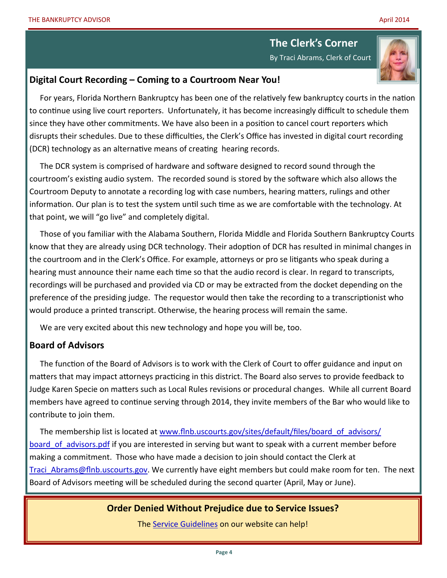# **The Clerk's Corner**

By Traci Abrams, Clerk of Court

#### **Digital Court Recording – Coming to a Courtroom Near You!**

For years, Florida Northern Bankruptcy has been one of the relatively few bankruptcy courts in the nation to continue using live court reporters. Unfortunately, it has become increasingly difficult to schedule them since they have other commitments. We have also been in a position to cancel court reporters which disrupts their schedules. Due to these difficulties, the Clerk's Office has invested in digital court recording (DCR) technology as an alternative means of creating hearing records.

The DCR system is comprised of hardware and software designed to record sound through the courtroom's existing audio system. The recorded sound is stored by the software which also allows the Courtroom Deputy to annotate a recording log with case numbers, hearing matters, rulings and other information. Our plan is to test the system until such time as we are comfortable with the technology. At that point, we will "go live" and completely digital.

Those of you familiar with the Alabama Southern, Florida Middle and Florida Southern Bankruptcy Courts know that they are already using DCR technology. Their adoption of DCR has resulted in minimal changes in the courtroom and in the Clerk's Office. For example, attorneys or pro se litigants who speak during a hearing must announce their name each time so that the audio record is clear. In regard to transcripts, recordings will be purchased and provided via CD or may be extracted from the docket depending on the preference of the presiding judge. The requestor would then take the recording to a transcriptionist who would produce a printed transcript. Otherwise, the hearing process will remain the same.

We are very excited about this new technology and hope you will be, too.

## **Board of Advisors**

The function of the Board of Advisors is to work with the Clerk of Court to offer guidance and input on matters that may impact attorneys practicing in this district. The Board also serves to provide feedback to Judge Karen Specie on matters such as Local Rules revisions or procedural changes. While all current Board members have agreed to continue serving through 2014, they invite members of the Bar who would like to contribute to join them.

The membership list is located at [www.flnb.uscourts.gov/sites/default/files/board\\_of\\_advisors/](http://www.flnb.uscourts.gov/sites/default/files/board_of_advisors/board_of_advisors.pdf) board of advisors.pdf if you are interested in serving but want to speak with a current member before making a commitment. Those who have made a decision to join should contact the Clerk at [Traci\\_Abrams@flnb.uscourts.gov.](mailto:Traci_Abrams@flnb.uscourts.gov?subject=Attorney%20Board%20of%20Advisors) We currently have eight members but could make room for ten. The next Board of Advisors meeting will be scheduled during the second quarter (April, May or June).

#### **Order Denied Without Prejudice due to Service Issues?**

The [Service Guidelines](http://www.flnb.uscourts.gov/sites/default/files/filing_requirements/service_guidelines.pdf) on our website can help!

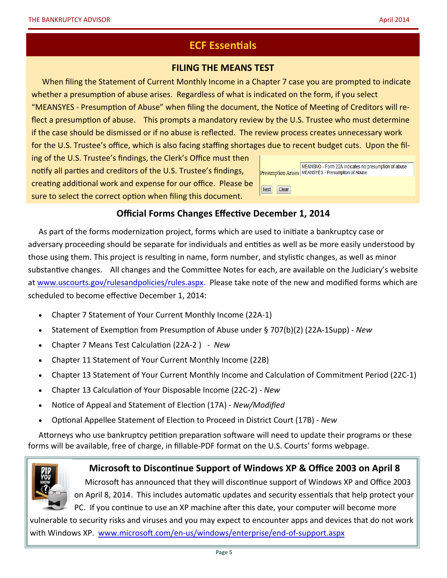## **ECF Essentials**

#### **FILING THE MEANS TEST**

When filing the Statement of Current Monthly Income in a Chapter 7 case you are prompted to indicate whether a presumption of abuse arises. Regardless of what is indicated on the form, if you select "MEANSYES - Presumption of Abuse" when filing the document, the Notice of Meeting of Creditors will reflect a presumption of abuse. This prompts a mandatory review by the U.S. Trustee who must determine if the case should be dismissed or if no abuse is reflected. The review process creates unnecessary work for the U.S. Trustee's office, which is also facing staffing shortages due to recent budget cuts. Upon the fil-

ing of the U.S. Trustee's findings, the Clerk's Office must then notify all parties and creditors of the U.S. Trustee's findings, creating additional work and expense for our office. Please be sure to select the correct option when filing this document.

|                 | MEANSNO - Form 22A indicates no presumption of abuse<br>Presumption Arises MEANSYES - Presumption of Abuse |
|-----------------|------------------------------------------------------------------------------------------------------------|
| Next  <br>Clear |                                                                                                            |

## **Official Forms Changes Effective December 1, 2014**

As part of the forms modernization project, forms which are used to initiate a bankruptcy case or adversary proceeding should be separate for individuals and entities as well as be more easily understood by those using them. This project is resulting in name, form number, and stylistic changes, as well as minor substantive changes. All changes and the Committee Notes for each, are available on the Judiciary's website at [www.uscourts.gov/rulesandpolicies/rules.aspx.](http://www.uscourts.gov/rulesandpolicies/rules.aspx) Please take note of the new and modified forms which are scheduled to become effective December 1, 2014:

- Chapter 7 Statement of Your Current Monthly Income (22A-1)
- Statement of Exemption from Presumption of Abuse under § 707(b)(2) (22A-1Supp) *New*
- Chapter 7 Means Test Calculation (22A-2 ) *- New*
- Chapter 11 Statement of Your Current Monthly Income (22B)
- Chapter 13 Statement of Your Current Monthly Income and Calculation of Commitment Period (22C-1)
- Chapter 13 Calculation of Your Disposable Income (22C-2) *New*
- Notice of Appeal and Statement of Election (17A) *New/Modified*
- Optional Appellee Statement of Election to Proceed in District Court (17B) *New*

Attorneys who use bankruptcy petition preparation software will need to update their programs or these forms will be available, free of charge, in fillable-PDF format on the U.S. Courts' forms webpage.



#### **Microsoft to Discontinue Support of Windows XP & Office 2003 on April 8**

Microsoft has announced that they will discontinue support of Windows XP and Office 2003 on April 8, 2014. This includes automatic updates and security essentials that help protect your PC. If you continue to use an XP machine after this date, your computer will become more

vulnerable to security risks and viruses and you may expect to encounter apps and devices that do not work with Windows XP. www.microsoft.com/en-[us/windows/enterprise/end](http://www.microsoft.com/en-us/windows/enterprise/end-of-support.aspx)-of-support.aspx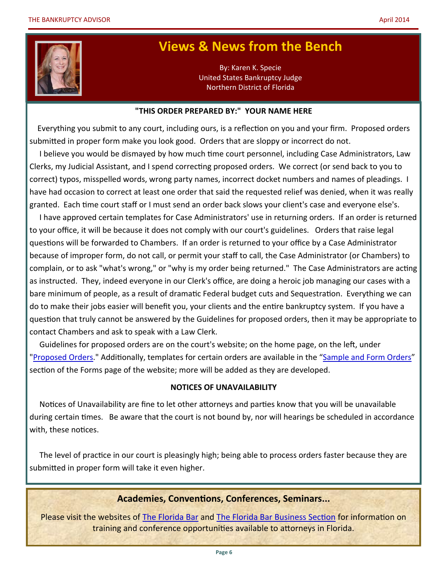

## **Views & News from the Bench**

By: Karen K. Specie United States Bankruptcy Judge Northern District of Florida

#### **"THIS ORDER PREPARED BY:" YOUR NAME HERE**

 Everything you submit to any court, including ours, is a reflection on you and your firm. Proposed orders submitted in proper form make you look good. Orders that are sloppy or incorrect do not.

 I believe you would be dismayed by how much time court personnel, including Case Administrators, Law Clerks, my Judicial Assistant, and I spend correcting proposed orders. We correct (or send back to you to correct) typos, misspelled words, wrong party names, incorrect docket numbers and names of pleadings. I have had occasion to correct at least one order that said the requested relief was denied, when it was really granted. Each time court staff or I must send an order back slows your client's case and everyone else's.

 I have approved certain templates for Case Administrators' use in returning orders. If an order is returned to your office, it will be because it does not comply with our court's guidelines. Orders that raise legal questions will be forwarded to Chambers. If an order is returned to your office by a Case Administrator because of improper form, do not call, or permit your staff to call, the Case Administrator (or Chambers) to complain, or to ask "what's wrong," or "why is my order being returned." The Case Administrators are acting as instructed. They, indeed everyone in our Clerk's office, are doing a heroic job managing our cases with a bare minimum of people, as a result of dramatic Federal budget cuts and Sequestration. Everything we can do to make their jobs easier will benefit you, your clients and the entire bankruptcy system. If you have a question that truly cannot be answered by the Guidelines for proposed orders, then it may be appropriate to contact Chambers and ask to speak with a Law Clerk.

 Guidelines for proposed orders are on the court's website; on the home page, on the left, under ["Proposed Orders."](http://www.flnb.uscourts.gov/sites/default/files/filing_requirements/4-inst.pdf) Additionally, templates for certain orders are available in the "Sample and Form Orders" section of the Forms page of the website; more will be added as they are developed.

#### **NOTICES OF UNAVAILABILITY**

 Notices of Unavailability are fine to let other attorneys and parties know that you will be unavailable during certain times. Be aware that the court is not bound by, nor will hearings be scheduled in accordance with, these notices.

 The level of practice in our court is pleasingly high; being able to process orders faster because they are submitted in proper form will take it even higher.

#### **Academies, Conventions, Conferences, Seminars...**

Please visit the websites of [The Florida Bar](http://www.floridabar.org/) and [The Florida Bar Business Section](http://www.flabizlaw.org/) for information on training and conference opportunities available to attorneys in Florida.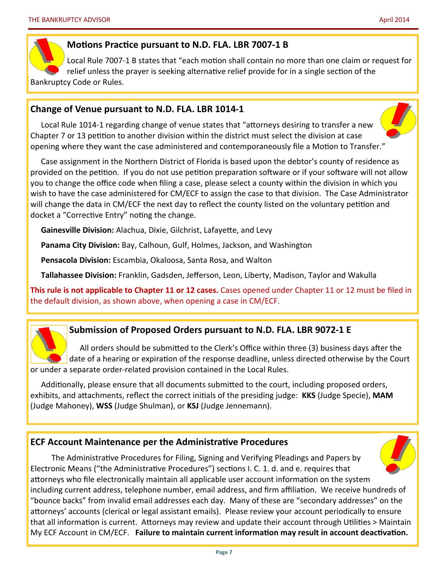#### **Motions Practice pursuant to N.D. FLA. LBR 7007-1 B**

Local Rule 7007-1 B states that "each motion shall contain no more than one claim or request for relief unless the prayer is seeking alternative relief provide for in a single section of the Bankruptcy Code or Rules.

#### **Change of Venue pursuant to N.D. FLA. LBR 1014-1**

Local Rule 1014-1 regarding change of venue states that "attorneys desiring to transfer a new Chapter 7 or 13 petition to another division within the district must select the division at case opening where they want the case administered and contemporaneously file a Motion to Transfer."

Case assignment in the Northern District of Florida is based upon the debtor's county of residence as provided on the petition. If you do not use petition preparation software or if your software will not allow you to change the office code when filing a case, please select a county within the division in which you wish to have the case administered for CM/ECF to assign the case to that division. The Case Administrator will change the data in CM/ECF the next day to reflect the county listed on the voluntary petition and docket a "Corrective Entry" noting the change.

**Gainesville Division:** Alachua, Dixie, Gilchrist, Lafayette, and Levy

**Panama City Division:** Bay, Calhoun, Gulf, Holmes, Jackson, and Washington

**Pensacola Division:** Escambia, Okaloosa, Santa Rosa, and Walton

**Tallahassee Division:** Franklin, Gadsden, Jefferson, Leon, Liberty, Madison, Taylor and Wakulla

**This rule is not applicable to Chapter 11 or 12 cases.** Cases opened under Chapter 11 or 12 must be filed in the default division, as shown above, when opening a case in CM/ECF.

## **Submission of Proposed Orders pursuant to N.D. FLA. LBR 9072-1 E**

All orders should be submitted to the Clerk's Office within three (3) business days after the date of a hearing or expiration of the response deadline, unless directed otherwise by the Court or under a separate order-related provision contained in the Local Rules.

Additionally, please ensure that all documents submitted to the court, including proposed orders, exhibits, and attachments, reflect the correct initials of the presiding judge: **KKS** (Judge Specie), **MAM** (Judge Mahoney), **WSS** (Judge Shulman), or **KSJ** (Judge Jennemann).

## **ECF Account Maintenance per the Administrative Procedures**

The Administrative Procedures for Filing, Signing and Verifying Pleadings and Papers by Electronic Means ("the Administrative Procedures") sections I. C. 1. d. and e. requires that attorneys who file electronically maintain all applicable user account information on the system including current address, telephone number, email address, and firm affiliation. We receive hundreds of "bounce backs" from invalid email addresses each day. Many of these are "secondary addresses" on the attorneys' accounts (clerical or legal assistant emails). Please review your account periodically to ensure that all information is current. Attorneys may review and update their account through Utilities > Maintain My ECF Account in CM/ECF. **Failure to maintain current information may result in account deactivation.**